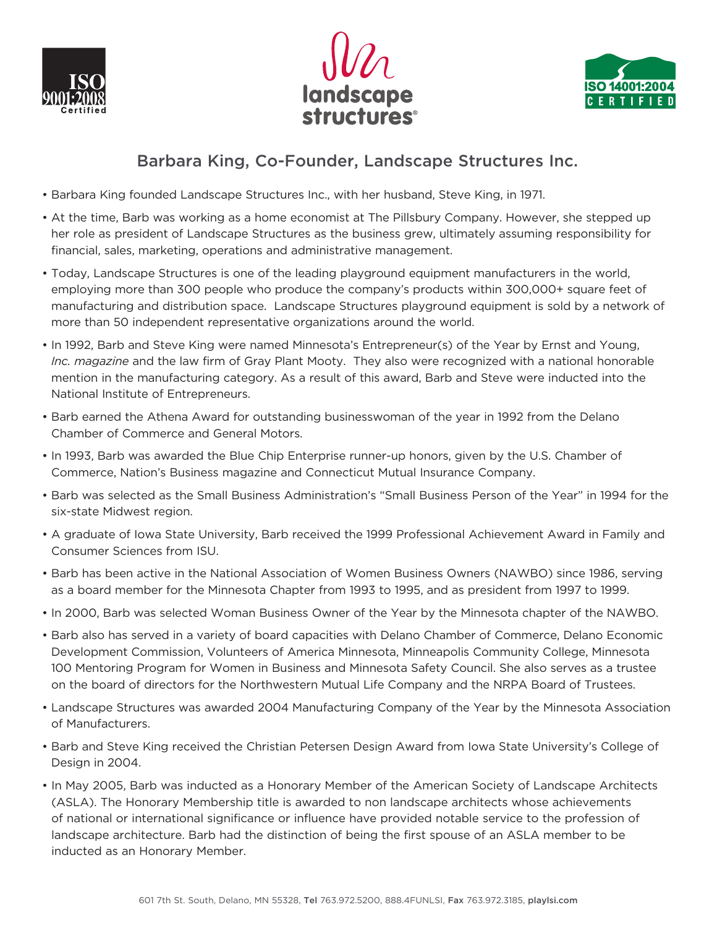





## Barbara King, Co-Founder, Landscape Structures Inc.

- Barbara King founded Landscape Structures Inc., with her husband, Steve King, in 1971.
- At the time, Barb was working as a home economist at The Pillsbury Company. However, she stepped up her role as president of Landscape Structures as the business grew, ultimately assuming responsibility for financial, sales, marketing, operations and administrative management.
- Today, Landscape Structures is one of the leading playground equipment manufacturers in the world, employing more than 300 people who produce the company's products within 300,000+ square feet of manufacturing and distribution space. Landscape Structures playground equipment is sold by a network of more than 50 independent representative organizations around the world.
- In 1992, Barb and Steve King were named Minnesota's Entrepreneur(s) of the Year by Ernst and Young, *Inc. magazine* and the law firm of Gray Plant Mooty. They also were recognized with a national honorable mention in the manufacturing category. As a result of this award, Barb and Steve were inducted into the National Institute of Entrepreneurs.
- Barb earned the Athena Award for outstanding businesswoman of the year in 1992 from the Delano Chamber of Commerce and General Motors.
- In 1993, Barb was awarded the Blue Chip Enterprise runner-up honors, given by the U.S. Chamber of Commerce, Nation's Business magazine and Connecticut Mutual Insurance Company.
- Barb was selected as the Small Business Administration's "Small Business Person of the Year" in 1994 for the six-state Midwest region.
- A graduate of Iowa State University, Barb received the 1999 Professional Achievement Award in Family and Consumer Sciences from ISU.
- Barb has been active in the National Association of Women Business Owners (NAWBO) since 1986, serving as a board member for the Minnesota Chapter from 1993 to 1995, and as president from 1997 to 1999.
- In 2000, Barb was selected Woman Business Owner of the Year by the Minnesota chapter of the NAWBO.
- Barb also has served in a variety of board capacities with Delano Chamber of Commerce, Delano Economic Development Commission, Volunteers of America Minnesota, Minneapolis Community College, Minnesota 100 Mentoring Program for Women in Business and Minnesota Safety Council. She also serves as a trustee on the board of directors for the Northwestern Mutual Life Company and the NRPA Board of Trustees.
- Landscape Structures was awarded 2004 Manufacturing Company of the Year by the Minnesota Association of Manufacturers.
- Barb and Steve King received the Christian Petersen Design Award from Iowa State University's College of Design in 2004.
- In May 2005, Barb was inducted as a Honorary Member of the American Society of Landscape Architects (ASLA). The Honorary Membership title is awarded to non landscape architects whose achievements of national or international significance or influence have provided notable service to the profession of landscape architecture. Barb had the distinction of being the first spouse of an ASLA member to be inducted as an Honorary Member.